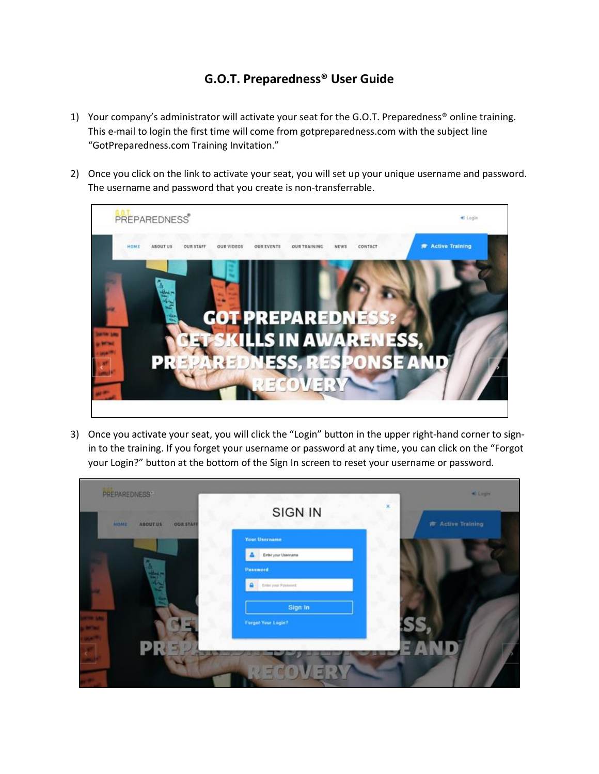## **G.O.T. Preparedness® User Guide**

- 1) Your company's administrator will activate your seat for the G.O.T. Preparedness® online training. This e-mail to login the first time will come from gotpreparedness.com with the subject line "GotPreparedness.com Training Invitation."
- 2) Once you click on the link to activate your seat, you will set up your unique username and password. The username and password that you create is non-transferrable.



3) Once you activate your seat, you will click the "Login" button in the upper right-hand corner to signin to the training. If you forget your username or password at any time, you can click on the "Forgot your Login?" button at the bottom of the Sign In screen to reset your username or password.

| <b>OUR STAFF</b><br><b>MOMT</b><br><b>ABOUT US</b> | x<br><b>SIGN IN</b>        | <b>P</b> Active Training |
|----------------------------------------------------|----------------------------|--------------------------|
|                                                    | Your Username              |                          |
|                                                    | Enter your Usemame         |                          |
|                                                    | <b>Password</b>            |                          |
|                                                    | <b>Enter your Password</b> |                          |
|                                                    | Sign In                    |                          |
|                                                    | Forgot Your Login?         | SS                       |
|                                                    |                            |                          |
| S.                                                 |                            |                          |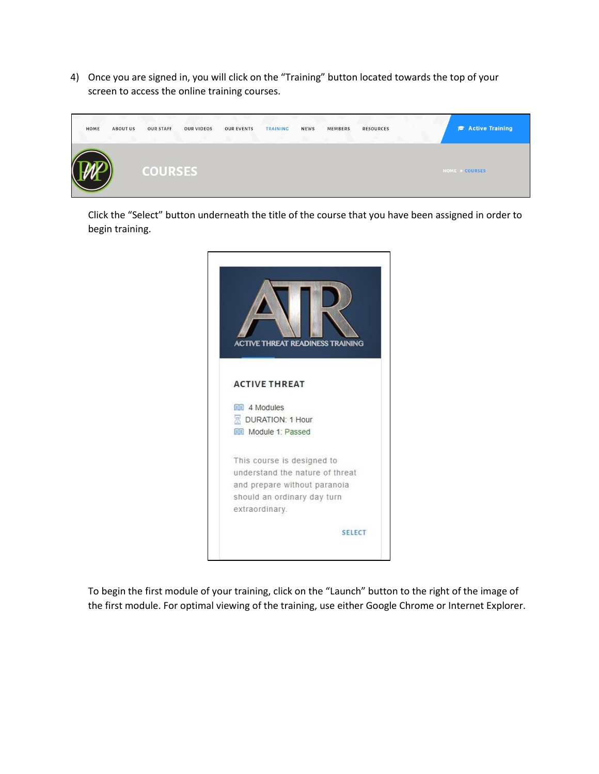4) Once you are signed in, you will click on the "Training" button located towards the top of your screen to access the online training courses.



Click the "Select" button underneath the title of the course that you have been assigned in order to begin training.



To begin the first module of your training, click on the "Launch" button to the right of the image of the first module. For optimal viewing of the training, use either Google Chrome or Internet Explorer.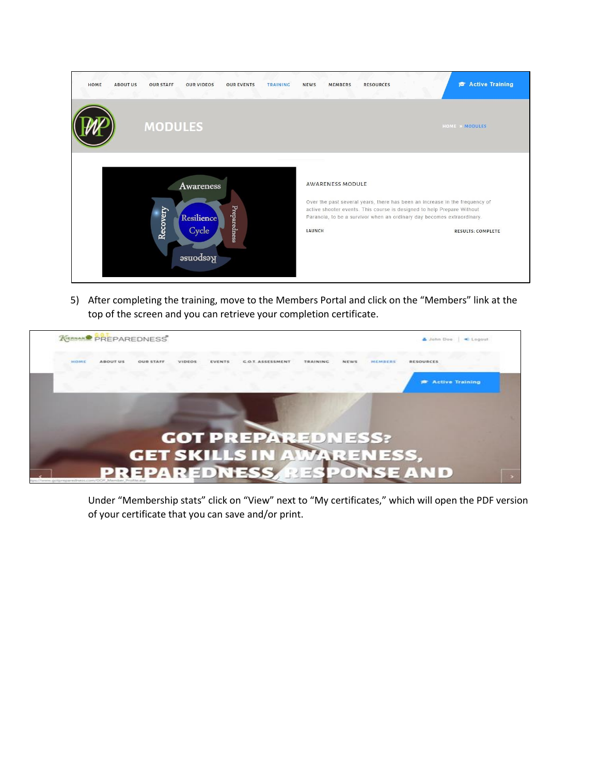

5) After completing the training, move to the Members Portal and click on the "Members" link at the top of the screen and you can retrieve your completion certificate.



Under "Membership stats" click on "View" next to "My certificates," which will open the PDF version of your certificate that you can save and/or print.